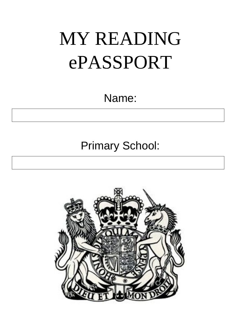# MY READING ePASSPORT

Name:

Primary School:

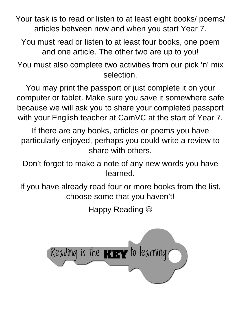Your task is to read or listen to at least eight books/ poems/ articles between now and when you start Year 7.

You must read or listen to at least four books, one poem and one article. The other two are up to you!

You must also complete two activities from our pick 'n' mix selection.

You may print the passport or just complete it on your computer or tablet. Make sure you save it somewhere safe because we will ask you to share your completed passport with your English teacher at CamVC at the start of Year 7.

If there are any books, articles or poems you have particularly enjoyed, perhaps you could write a review to share with others.

Don't forget to make a note of any new words you have learned.

If you have already read four or more books from the list, choose some that you haven't!

Happy Reading  $\odot$ 

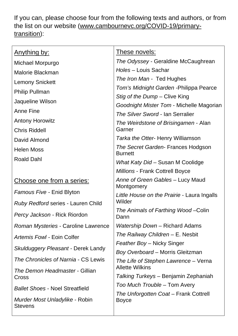If you can, please choose four from the following texts and authors, or from the list on our website [\(www.cambournevc.org/COVID-19/primary](http://www.cambournevc.org/COVID-19/primary-transition)[transition\)](http://www.cambournevc.org/COVID-19/primary-transition):

| These novels:                                         |
|-------------------------------------------------------|
| The Odyssey - Geraldine McCaughrean                   |
| Holes - Louis Sachar                                  |
| The Iron Man - Ted Hughes                             |
| Tom's Midnight Garden - Philippa Pearce               |
| Stig of the Dump – Clive King                         |
| Goodnight Mister Tom - Michelle Magorian              |
| The Silver Sword - Ian Serralier                      |
| The Weirdstone of Brisingamen - Alan<br>Garner        |
| Tarka the Otter- Henry Williamson                     |
|                                                       |
| The Secret Garden- Frances Hodgson<br><b>Burnett</b>  |
| What Katy Did – Susan M Coolidge                      |
| Millions - Frank Cottrell Boyce                       |
| Anne of Green Gables - Lucy Maud<br>Montgomery        |
| Little House on the Prairie - Laura Ingalls           |
| Wilder                                                |
| The Animals of Farthing Wood-Colin<br>Dann            |
| Watership Down - Richard Adams                        |
| The Railway Children - E. Nesbit                      |
| Feather Boy - Nicky Singer                            |
| <b>Boy Overboard – Morris Gleitzman</b>               |
| The Life of Stephen Lawrence – Verna                  |
| <b>Allette Wilkins</b>                                |
| Talking Turkeys – Benjamin Zephaniah                  |
| Too Much Trouble – Tom Avery                          |
| The Unforgotten Coat – Frank Cottrell<br><b>Boyce</b> |
|                                                       |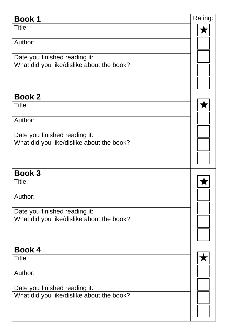| <b>Book1</b>  |                                           | Rating: |
|---------------|-------------------------------------------|---------|
| Title:        |                                           |         |
| Author:       |                                           |         |
|               | Date you finished reading it:             |         |
|               | What did you like/dislike about the book? |         |
|               |                                           |         |
|               |                                           |         |
| <b>Book 2</b> |                                           |         |
| Title:        |                                           |         |
| Author:       |                                           |         |
|               | Date you finished reading it:             |         |
|               | What did you like/dislike about the book? |         |
|               |                                           |         |
|               |                                           |         |
| <b>Book 3</b> |                                           |         |
| Title:        |                                           |         |
| Author:       |                                           |         |
|               | Date you finished reading it:             |         |
|               | What did you like/dislike about the book? |         |
|               |                                           |         |
|               |                                           |         |
| <b>Book 4</b> |                                           |         |
| Title:        |                                           |         |
| Author:       |                                           |         |
|               | Date you finished reading it:             |         |
|               | What did you like/dislike about the book? |         |
|               |                                           |         |
|               |                                           |         |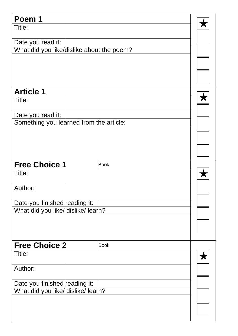| Poem 1                                                              |  |             |  |  |
|---------------------------------------------------------------------|--|-------------|--|--|
| Title:                                                              |  |             |  |  |
|                                                                     |  |             |  |  |
| Date you read it:                                                   |  |             |  |  |
| What did you like/dislike about the poem?                           |  |             |  |  |
|                                                                     |  |             |  |  |
|                                                                     |  |             |  |  |
|                                                                     |  |             |  |  |
| <b>Article 1</b>                                                    |  |             |  |  |
| Title:                                                              |  |             |  |  |
|                                                                     |  |             |  |  |
| Date you read it:                                                   |  |             |  |  |
| Something you learned from the article:                             |  |             |  |  |
|                                                                     |  |             |  |  |
|                                                                     |  |             |  |  |
|                                                                     |  |             |  |  |
|                                                                     |  |             |  |  |
| <b>Free Choice 1</b>                                                |  | <b>Book</b> |  |  |
| Title:                                                              |  |             |  |  |
| Author:                                                             |  |             |  |  |
|                                                                     |  |             |  |  |
| Date you finished reading it:                                       |  |             |  |  |
| What did you like/ dislike/ learn?                                  |  |             |  |  |
|                                                                     |  |             |  |  |
|                                                                     |  |             |  |  |
|                                                                     |  |             |  |  |
| <b>Free Choice 2</b>                                                |  | <b>Book</b> |  |  |
| Title:                                                              |  |             |  |  |
|                                                                     |  |             |  |  |
| Author:                                                             |  |             |  |  |
|                                                                     |  |             |  |  |
| Date you finished reading it:<br>What did you like/ dislike/ learn? |  |             |  |  |
|                                                                     |  |             |  |  |
|                                                                     |  |             |  |  |
|                                                                     |  |             |  |  |
|                                                                     |  |             |  |  |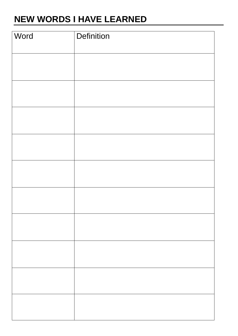# **NEW WORDS I HAVE LEARNED**

| Word | Definition |
|------|------------|
|      |            |
|      |            |
|      |            |
|      |            |
|      |            |
|      |            |
|      |            |
|      |            |
|      |            |
|      |            |
|      |            |
|      |            |
|      |            |
|      |            |
|      |            |
|      |            |
|      |            |
|      |            |
|      |            |
|      |            |
|      |            |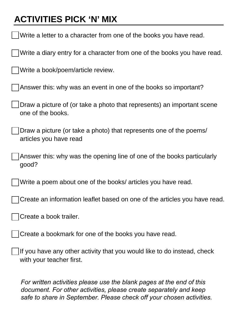# **ACTIVITIES PICK 'N' MIX**

| Write a letter to a character from one of the books you have read.                                  |
|-----------------------------------------------------------------------------------------------------|
| Write a diary entry for a character from one of the books you have read.                            |
| Write a book/poem/article review.                                                                   |
| Answer this: why was an event in one of the books so important?                                     |
| Draw a picture of (or take a photo that represents) an important scene<br>one of the books.         |
| Draw a picture (or take a photo) that represents one of the poems/<br>articles you have read        |
| Answer this: why was the opening line of one of the books particularly<br>good?                     |
| Write a poem about one of the books/ articles you have read.                                        |
| Create an information leaflet based on one of the articles you have read.                           |
| Create a book trailer.                                                                              |
| Create a bookmark for one of the books you have read.                                               |
| If you have any other activity that you would like to do instead, check<br>with your teacher first. |
| For written activities please use the blank pages at the end of this                                |

*document. For other activities, please create separately and keep safe to share in September. Please check off your chosen activities.*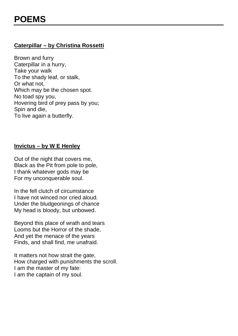# **Caterpillar – by Christina Rossetti**

Brown and furry Caterpillar in a hurry, Take your walk To the shady leaf, or stalk, Or what not, Which may be the chosen spot. No toad spy you, Hovering bird of prey pass by you; Spin and die, To live again a butterfly.

#### **Invictus – by W E Henley**

Out of the night that covers me, Black as the Pit from pole to pole, I thank whatever gods may be For my unconquerable soul.

In the fell clutch of circumstance I have not winced nor cried aloud. Under the bludgeonings of chance My head is bloody, but unbowed.

Beyond this place of wrath and tears Looms but the Horror of the shade, And yet the menace of the years Finds, and shall find, me unafraid.

It matters not how strait the gate, How charged with punishments the scroll. I am the master of my fate: I am the captain of my soul.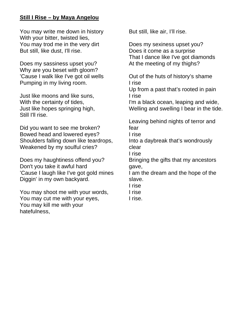#### **Still I Rise – by Maya Angelou**

You may write me down in history With your bitter, twisted lies, You may trod me in the very dirt But still, like dust, I'll rise.

Does my sassiness upset you? Why are you beset with gloom? 'Cause I walk like I've got oil wells Pumping in my living room.

Just like moons and like suns, With the certainty of tides, Just like hopes springing high, Still I'll rise.

Did you want to see me broken? Bowed head and lowered eyes? Shoulders falling down like teardrops, Weakened by my soulful cries?

Does my haughtiness offend you? Don't you take it awful hard 'Cause I laugh like I've got gold mines Diggin' in my own backyard.

You may shoot me with your words, You may cut me with your eyes, You may kill me with your hatefulness,

But still, like air, I'll rise.

Does my sexiness upset you? Does it come as a surprise That I dance like I've got diamonds At the meeting of my thighs?

Out of the huts of history's shame I rise

Up from a past that's rooted in pain I rise

I'm a black ocean, leaping and wide, Welling and swelling I bear in the tide.

Leaving behind nights of terror and fear

I rise

Into a daybreak that's wondrously clear

I rise

Bringing the gifts that my ancestors gave,

I am the dream and the hope of the slave.

- I rise
- I rise

I rise.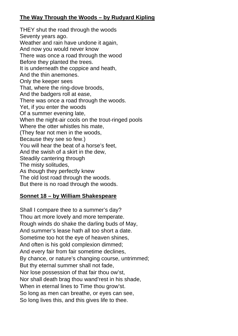#### **The Way Through the Woods – by Rudyard Kipling**

THEY shut the road through the woods Seventy years ago. Weather and rain have undone it again, And now you would never know There was once a road through the wood Before they planted the trees. It is underneath the coppice and heath, And the thin anemones. Only the keeper sees That, where the ring-dove broods, And the badgers roll at ease, There was once a road through the woods. Yet, if you enter the woods Of a summer evening late, When the night-air cools on the trout-ringed pools Where the otter whistles his mate, (They fear not men in the woods, Because they see so few.) You will hear the beat of a horse's feet, And the swish of a skirt in the dew, Steadily cantering through The misty solitudes, As though they perfectly knew The old lost road through the woods. But there is no road through the woods.

#### **Sonnet 18 – by William Shakespeare**

Shall I compare thee to a summer's day? Thou art more lovely and more temperate. Rough winds do shake the darling buds of May, And summer's lease hath all too short a date. Sometime too hot the eye of heaven shines, And often is his gold complexion dimmed; And every fair from fair sometime declines, By chance, or nature's changing course, untrimmed; But thy eternal summer shall not fade, Nor lose possession of that fair thou ow'st, Nor shall death brag thou wand'rest in his shade, When in eternal lines to Time thou grow'st. So long as men can breathe, or eyes can see, So long lives this, and this gives life to thee.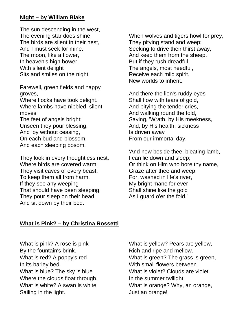#### **Night – by William Blake**

The sun descending in the west, The evening star does shine; The birds are silent in their nest, And I must seek for mine. The moon, like a flower, In heaven's high bower, With silent delight Sits and smiles on the night.

Farewell, green fields and happy groves,

Where flocks have took delight. Where lambs have nibbled, silent moves

The feet of angels bright; Unseen they pour blessing, And joy without ceasing, On each bud and blossom, And each sleeping bosom.

They look in every thoughtless nest, Where birds are covered warm; They visit caves of every beast, To keep them all from harm. If they see any weeping That should have been sleeping, They pour sleep on their head, And sit down by their bed.

When wolves and tigers howl for prey, They pitying stand and weep; Seeking to drive their thirst away, And keep them from the sheep. But if they rush dreadful, The angels, most heedful. Receive each mild spirit, New worlds to inherit.

And there the lion's ruddy eyes Shall flow with tears of gold, And pitying the tender cries, And walking round the fold, Saying, 'Wrath, by His meekness, And, by His health, sickness Is driven away From our immortal day.

'And now beside thee, bleating lamb, I can lie down and sleep; Or think on Him who bore thy name, Graze after thee and weep. For, washed in life's river, My bright mane for ever Shall shine like the gold As I guard o'er the fold.'

#### **What is Pink? – by Christina Rossetti**

What is pink? A rose is pink By the fountain's brink. What is red? A poppy's red In its barley bed. What is blue? The sky is blue Where the clouds float through. What is white? A swan is white Sailing in the light.

What is yellow? Pears are yellow, Rich and ripe and mellow. What is green? The grass is green, With small flowers between. What is violet? Clouds are violet In the summer twilight. What is orange? Why, an orange, Just an orange!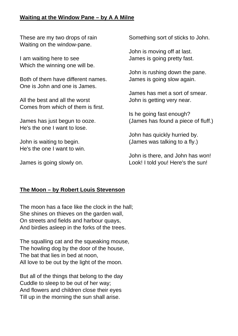#### **Waiting at the Window Pane – by A A Milne**

These are my two drops of rain Waiting on the window-pane.

I am waiting here to see Which the winning one will be.

Both of them have different names. One is John and one is James.

All the best and all the worst Comes from which of them is first.

James has just begun to ooze. He's the one I want to lose.

John is waiting to begin. He's the one I want to win.

James is going slowly on.

Something sort of sticks to John.

John is moving off at last. James is going pretty fast.

John is rushing down the pane. James is going slow again.

James has met a sort of smear. John is getting very near.

Is he going fast enough? (James has found a piece of fluff.)

John has quickly hurried by. (James was talking to a fly.)

John is there, and John has won! Look! I told you! Here's the sun!

#### **The Moon – by Robert Louis Stevenson**

The moon has a face like the clock in the hall; She shines on thieves on the garden wall, On streets and fields and harbour quays, And birdies asleep in the forks of the trees.

The squalling cat and the squeaking mouse, The howling dog by the door of the house, The bat that lies in bed at noon, All love to be out by the light of the moon.

But all of the things that belong to the day Cuddle to sleep to be out of her way; And flowers and children close their eyes Till up in the morning the sun shall arise.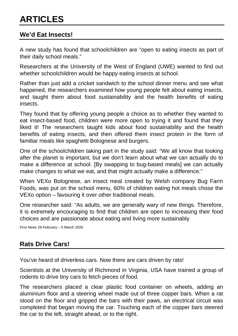### **We'd Eat Insects!**

A new study has found that schoolchildren are "open to eating insects as part of their daily school meals."

Researchers at the University of the West of England (UWE) wanted to find out whether schoolchildren would be happy eating insects at school.

Rather than just add a cricket sandwich to the school dinner menu and see what happened, the researchers examined how young people felt about eating insects, and taught them about food sustainability and the health benefits of eating insects.

They found that by offering young people a choice as to whether they wanted to eat insect-based food, children were more open to trying it and found that they liked it! The researchers taught kids about food sustainability and the health benefits of eating insects, and then offered them insect protein in the form of familiar meals like spaghetti Bolognese and burgers.

One of the schoolchildren taking part in the study said: "We all know that looking after the planet is important, but we don't learn about what we can actually do to make a difference at school. [By swapping to bug-based meals] we can actually make changes to what we eat, and that might actually make a difference."

When VEXo Bolognese, an insect meal created by Welsh company Bug Farm Foods, was put on the school menu, 60% of children eating hot meals chose the VEXo option – favouring it over other traditional meals.

One researcher said: "As adults, we are generally wary of new things. Therefore, it is extremely encouraging to find that children are open to increasing their food choices and are passionate about eating and living more sustainably

First News 28 February – 5 March 2020

# **Rats Drive Cars!**

You've heard of driverless cars. Now there are cars driven by rats!

Scientists at the University of Richmond in Virginia, USA have trained a group of rodents to drive tiny cars to fetch pieces of food.

The researchers placed a clear plastic food container on wheels, adding an aluminium floor and a steering wheel made out of three copper bars. When a rat stood on the floor and gripped the bars with their paws, an electrical circuit was completed that began moving the car. Touching each of the copper bars steered the car to the left, straight ahead, or to the right.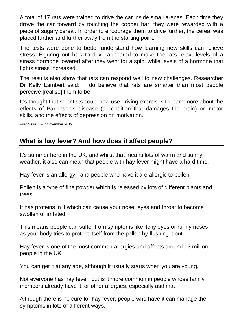A total of 17 rats were trained to drive the car inside small arenas. Each time they drove the car forward by touching the copper bar, they were rewarded with a piece of sugary cereal. In order to encourage them to drive further, the cereal was placed further and further away from the starting point.

The tests were done to better understand how learning new skills can relieve stress. Figuring out how to drive appeared to make the rats relax; levels of a stress hormone lowered after they went for a spin, while levels of a hormone that fights stress increased.

The results also show that rats can respond well to new challenges. Researcher Dr Kelly Lambert said: "I do believe that rats are smarter than most people perceive [realise] them to be."

It's thought that scientists could now use driving exercises to learn more about the effects of Parkinson's disease (a condition that damages the brain) on motor skills, and the effects of depression on motivation.

First News 1 – 7 November 2019

# **What is hay fever? And how does it affect people?**

It's summer here in the UK, and whilst that means lots of warm and sunny weather, it also can mean that people with hay fever might have a hard time.

Hay fever is an allergy - and people who have it are allergic to pollen.

Pollen is a type of fine powder which is released by lots of different plants and trees.

It has proteins in it which can cause your nose, eyes and throat to become swollen or irritated.

This means people can suffer from symptoms like itchy eyes or runny noses as your body tries to protect itself from the pollen by flushing it out.

Hay fever is one of the most common allergies and affects around 13 million people in the UK.

You can get it at any age, although it usually starts when you are young.

Not everyone has hay fever, but is it more common in people whose family members already have it, or other allergies, especially asthma.

Although there is no cure for hay fever, people who have it can manage the symptoms in lots of different ways.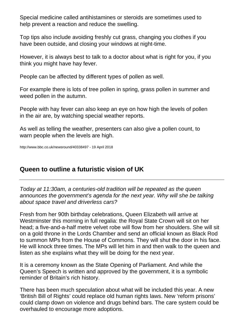Special medicine called antihistamines or steroids are sometimes used to help prevent a reaction and reduce the swelling.

Top tips also include avoiding freshly cut grass, changing you clothes if you have been outside, and closing your windows at night-time.

However, it is always best to talk to a doctor about what is right for you, if you think you might have hay fever.

People can be affected by different types of pollen as well.

For example there is lots of tree pollen in spring, grass pollen in summer and weed pollen in the autumn.

People with hay fever can also keep an eye on how high the levels of pollen in the air are, by watching special weather reports.

As well as telling the weather, presenters can also give a pollen count, to warn people when the levels are high.

http://www.bbc.co.uk/newsround/40338497 - 19 April 2018

# **Queen to outline a futuristic vision of UK**

*Today at 11:30am, a centuries-old tradition will be repeated as the queen announces the government's agenda for the next year. Why will she be talking about space travel and driverless cars?*

Fresh from her 90th birthday celebrations, Queen Elizabeth will arrive at Westminster this morning in full regalia: the Royal State Crown will sit on her head; a five-and-a-half metre velvet robe will flow from her shoulders. She will sit on a gold throne in the Lords Chamber and send an official known as Black Rod to summon MPs from the House of Commons. They will shut the door in his face. He will knock three times. The MPs will let him in and then walk to the queen and listen as she explains what they will be doing for the next year.

It is a ceremony known as the State Opening of Parliament. And while the Queen's Speech is written and approved by the government, it is a symbolic reminder of Britain's rich history.

There has been much speculation about what will be included this year. A new 'British Bill of Rights' could replace old human rights laws. New 'reform prisons' could clamp down on violence and drugs behind bars. The care system could be overhauled to encourage more adoptions.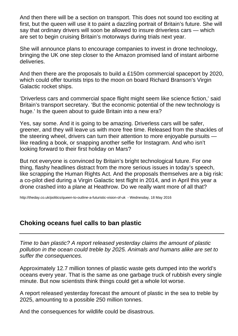And then there will be a section on transport. This does not sound too exciting at first, but the queen will use it to paint a dazzling portrait of Britain's future. She will say that ordinary drivers will soon be allowed to insure driverless cars — which are set to begin cruising Britain's motorways during trials next year.

She will announce plans to encourage companies to invest in drone technology, bringing the UK one step closer to the Amazon promised land of instant airborne deliveries.

And then there are the proposals to build a £150m commercial spaceport by 2020, which could offer tourists trips to the moon on board Richard Branson's Virgin Galactic rocket ships.

'Driverless cars and commercial space flight might seem like science fiction,' said Britain's transport secretary. 'But the economic potential of the new technology is huge.' Is the queen about to quide Britain into a new era?

Yes, say some. And it is going to be amazing. Driverless cars will be safer, greener, and they will leave us with more free time. Released from the shackles of the steering wheel, drivers can turn their attention to more enjoyable pursuits like reading a book, or snapping another selfie for Instagram. And who isn't looking forward to their first holiday on Mars?

But not everyone is convinced by Britain's bright technological future. For one thing, flashy headlines distract from the more serious issues in today's speech, like scrapping the Human Rights Act. And the proposals themselves are a big risk: a co-pilot died during a Virgin Galactic test flight in 2014, and in April this year a drone crashed into a plane at Heathrow. Do we really want more of all that?

<http://theday.co.uk/politics/queen-to-outline-a-futuristic-vision-of-uk>- Wednesday, 18 May 2016

# **Choking oceans fuel calls to ban plastic**

*Time to ban plastic? A report released yesterday claims the amount of plastic pollution in the ocean could treble by 2025. Animals and humans alike are set to suffer the consequences.*

Approximately 12.7 million tonnes of plastic waste gets dumped into the world's oceans every year. That is the same as one garbage truck of rubbish every single minute. But now scientists think things could get a whole lot worse.

A report released yesterday forecast the amount of plastic in the sea to treble by 2025, amounting to a possible 250 million tonnes.

And the consequences for wildlife could be disastrous.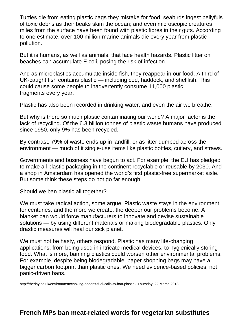Turtles die from eating plastic bags they mistake for food; seabirds ingest bellyfuls of toxic debris as their beaks skim the ocean; and even microscopic creatures miles from the surface have been found with plastic fibres in their guts. According to one estimate, over 100 million marine animals die every year from plastic pollution.

But it is humans, as well as animals, that face health hazards. Plastic litter on beaches can accumulate E.coli, posing the risk of infection.

And as microplastics accumulate inside fish, they reappear in our food. A third of UK-caught fish contains plastic — including cod, haddock, and shellfish. This could cause some people to inadvertently consume 11,000 plastic fragments every year.

Plastic has also been recorded in drinking water, and even the air we breathe.

But why is there so much plastic contaminating our world? A major factor is the lack of recycling. Of the 6.3 billion tonnes of plastic waste humans have produced since 1950, only 9% has been recycled.

By contrast, 79% of waste ends up in landfill, or as litter dumped across the environment — much of it single-use items like plastic bottles, cutlery, and straws.

Governments and business have begun to act. For example, the EU has pledged to make all plastic packaging in the continent recyclable or reusable by 2030. And a shop in Amsterdam has opened the world's first plastic-free supermarket aisle. But some think these steps do not go far enough.

Should we ban plastic all together?

We must take radical action, some argue. Plastic waste stays in the environment for centuries, and the more we create, the deeper our problems become. A blanket ban would force manufacturers to innovate and devise sustainable solutions — by using different materials or making biodegradable plastics. Only drastic measures will heal our sick planet.

We must not be hasty, others respond. Plastic has many life-changing applications, from being used in intricate medical devices, to hygienically storing food. What is more, banning plastics could worsen other environmental problems. For example, despite being biodegradable, paper shopping bags may have a bigger carbon footprint than plastic ones. We need evidence-based policies, not panic-driven bans.

[http://theday.co.uk/environment/choking-oceans-fuel-calls-to-ban-plastic -](http://theday.co.uk/environment/choking-oceans-fuel-calls-to-ban-plastic) Thursday, 22 March 2018

# **French MPs ban meat-related words for vegetarian substitutes**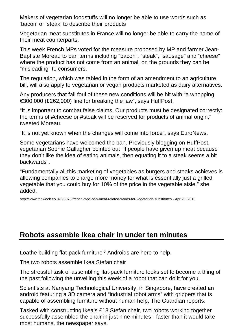Makers of vegetarian foodstuffs will no longer be able to use words such as 'bacon' or 'steak' to describe their products

Vegetarian meat substitutes in France will no longer be able to carry the name of their meat counterparts.

This week French MPs voted for the measure proposed by MP and farmer Jean-Baptiste Moreau to ban terms including "bacon", "steak", "sausage" and "cheese" where the product has not come from an animal, on the grounds they can be "misleading" to consumers.

The regulation, which was tabled in the form of an amendment to an agriculture bill, will also apply to vegetarian or vegan products marketed as dairy alternatives.

Any producers that fall foul of these new conditions will be hit with "a whopping €300,000 (£262,000) fine for breaking the law", says [HuffPost.](https://www.huffingtonpost.co.uk/entry/youll-no-longer-find-vegetarian-sausages-or-cauliflower-steak-in-france_uk_5ad9a2a0e4b029ebe022d3e2?utm_hp_ref=uk-lifestyle)

"It is important to combat false claims. Our products must be designated correctly: the terms of #cheese or #steak will be reserved for products of animal origin," tweeted Moreau.

"It is not yet known when the changes will come into force", says [EuroNews.](http://www.euronews.com/2018/04/20/french-mps-ban-meaty-words-to-describe-vegetarian-food)

Some vegetarians have welcomed the ban. Previously blogging on [HuffPost,](https://www.huffingtonpost.co.uk/entry/stop-telling-vegetarians-that-a-cauliflower-is-a-steak-its-just-insulting_uk_5a54a7d6e4b01e1a4b195341) vegetarian Sophie Gallagher pointed out "if people have given up meat because they don't like the idea of eating animals, then equating it to a steak seems a bit backwards".

"Fundamentally all this marketing of vegetables as burgers and steaks achieves is allowing companies to charge more money for what is essentially just a grilled vegetable that you could buy for 10% of the price in the vegetable aisle," she added.

http://www.theweek.co.uk/93078/french-mps-ban-meat-related-words-for-vegetarian-substitutes - Apr 20, 2018

# **Robots assemble Ikea chair in under ten minutes**

Loathe building flat-pack furniture? Androids are here to help.

The two robots assemble Ikea Stefan chair

The stressful task of assembling flat-pack furniture looks set to become a thing of the past following the unveiling this week of a robot that can do it for you.

Scientists at Nanyang Technological University, in Singapore, have created an android featuring a 3D camera and "industrial robot arms" with grippers that is capable of assembling furniture without human help, [The Guardian](https://www.theguardian.com/science/2018/apr/18/defeated-by-ikeas-flatpack-call-in-the-robots) reports.

Tasked with constructing Ikea's £18 Stefan chair, two robots working together successfully assembled the chair in just nine minutes - faster than it would take most humans, the newspaper says.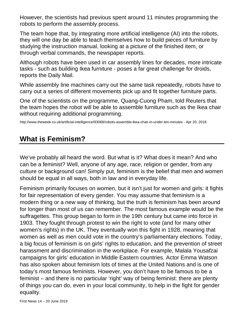However, the scientists had previous spent around 11 minutes programming the robots to perform the assembly process.

The team hope that, by integrating more artificial intelligence (AI) into the robots, they will one day be able to teach themselves how to build pieces of furniture by studying the instruction manual, looking at a picture of the finished item, or through verbal commands, the newspaper reports.

Although robots have been used in car assembly lines for decades, more intricate tasks - such as building Ikea furniture - poses a far great challenge for droids, reports the [Daily Mail.](http://www.dailymail.co.uk/sciencetech/article-5631151/Scientists-create-robot-Ikea-chair-8-minutes-55-seconds.html)

While assembly line machines carry out the same task repeatedly, robots have to carry out a series of different movements pick up and fit together furniture parts.

One of the scientists on the programme, Quang-Cuong Pham, told [Reuters](https://www.reuters.com/article/us-singapore-robots-ikea/flatpack-fear-no-more-robot-assembles-ikea-chair-frame-idUSKBN1HQ07K) that the team hopes the robot will be able to assemble furniture such as the Ikea chair without requiring additional programming.

http://www.theweek.co.uk/artificial-intelligence/93068/robots-assemble-ikea-chair-in-under-ten-minutes - Apr 20, 2018

# **What is Feminism?**

We've probably all heard the word. But what is it? What does it mean? And who can be a feminist? Well, anyone of any age, race, religion or gender, from any culture or background can! Simply put, feminism is the belief that men and women should be equal in all ways, both in law and in everyday life.

Feminism primarily focuses on women, but it isn't just for women and girls: it fights for fair representation of every gender. You may assume that feminism is a modern thing or a new way of thinking, but the truth is feminism has been around for longer than most of us can remember. The most famous example would be the suffragettes. This group began to form in the 19th century but came into force in 1903. They fought through protest to win the right to vote (and for many other women's rights) in the UK. They eventually won this fight in 1928, meaning that women as well as men could vote in the country's parliamentary elections. Today, a big focus of feminism is on girls' rights to education, and the prevention of street harassment and discrimination in the workplace. For example, Malala Yousafzai campaigns for girls' education in Middle Eastern countries. Actor Emma Watson has also spoken about feminism lots of times at the United Nations and is one of today's most famous feminists. However, you don't have to be famous to be a feminist – and there is no particular 'right' way of being feminist: there are plenty of things you can do, even in your local community, to help in the fight for gender equality.

First News 14 – 20 June 2019